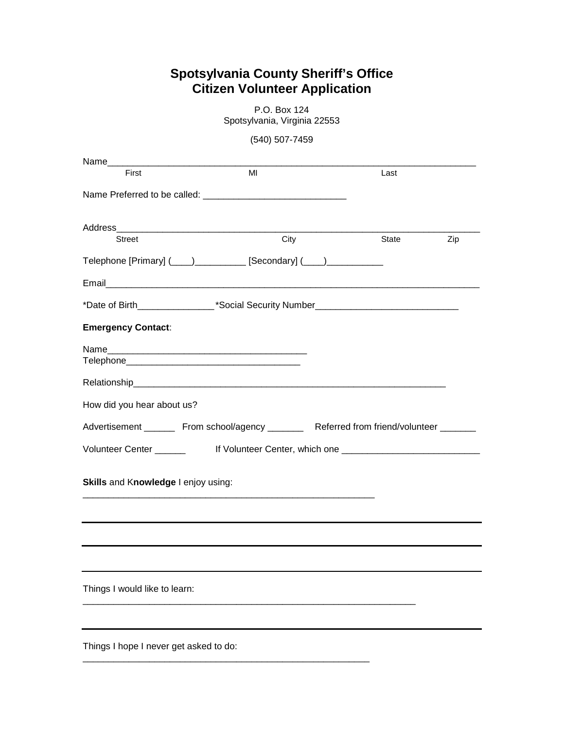## **Spotsylvania County Sheriff's Office Citizen Volunteer Application**

|                                        | Spotsylvania, virginia zz553                                                                     |       |     |
|----------------------------------------|--------------------------------------------------------------------------------------------------|-------|-----|
|                                        | (540) 507-7459                                                                                   |       |     |
| Name                                   |                                                                                                  |       |     |
| First                                  | MI                                                                                               | Last  |     |
|                                        |                                                                                                  |       |     |
|                                        |                                                                                                  |       |     |
|                                        | City                                                                                             |       |     |
| <b>Street</b>                          |                                                                                                  | State | Zip |
|                                        | Telephone [Primary] (____)___________ [Secondary] (____)____________                             |       |     |
|                                        |                                                                                                  |       |     |
|                                        |                                                                                                  |       |     |
| <b>Emergency Contact:</b>              |                                                                                                  |       |     |
|                                        |                                                                                                  |       |     |
|                                        |                                                                                                  |       |     |
|                                        |                                                                                                  |       |     |
| How did you hear about us?             |                                                                                                  |       |     |
|                                        | Advertisement __________ From school/agency ____________ Referred from friend/volunteer ________ |       |     |
|                                        | Volunteer Center _________    If Volunteer Center, which one ____________________                |       |     |
| Skills and Knowledge I enjoy using:    |                                                                                                  |       |     |
|                                        |                                                                                                  |       |     |
|                                        |                                                                                                  |       |     |
|                                        |                                                                                                  |       |     |
| Things I would like to learn:          |                                                                                                  |       |     |
|                                        |                                                                                                  |       |     |
| Things I hope I never get asked to do: |                                                                                                  |       |     |

\_\_\_\_\_\_\_\_\_\_\_\_\_\_\_\_\_\_\_\_\_\_\_\_\_\_\_\_\_\_\_\_\_\_\_\_\_\_\_\_\_\_\_\_\_\_\_\_\_\_\_\_\_\_\_\_

P.O. Box 124 Spotsylvania, Virginia 22553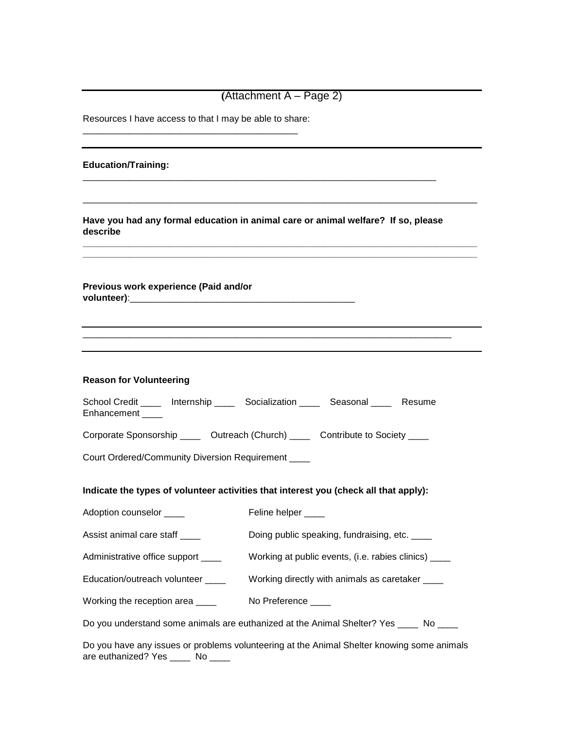| $(Attachment A - Page 2)$                               |                                                                                            |  |  |  |  |
|---------------------------------------------------------|--------------------------------------------------------------------------------------------|--|--|--|--|
| Resources I have access to that I may be able to share: |                                                                                            |  |  |  |  |
| <b>Education/Training:</b>                              |                                                                                            |  |  |  |  |
| describe                                                | Have you had any formal education in animal care or animal welfare? If so, please          |  |  |  |  |
| Previous work experience (Paid and/or                   |                                                                                            |  |  |  |  |
|                                                         |                                                                                            |  |  |  |  |
| <b>Reason for Volunteering</b>                          |                                                                                            |  |  |  |  |
| Enhancement ____                                        | School Credit _____ Internship _____ Socialization _____ Seasonal _____ Resume             |  |  |  |  |
|                                                         | Corporate Sponsorship ______ Outreach (Church) _____ Contribute to Society ____            |  |  |  |  |
| Court Ordered/Community Diversion Requirement ____      |                                                                                            |  |  |  |  |
|                                                         | Indicate the types of volunteer activities that interest you (check all that apply):       |  |  |  |  |
| Adoption counselor ____                                 | Feline helper ____                                                                         |  |  |  |  |
| Assist animal care staff _____                          | Doing public speaking, fundraising, etc. ____                                              |  |  |  |  |
| Administrative office support ____                      | Working at public events, (i.e. rabies clinics) _____                                      |  |  |  |  |
| Education/outreach volunteer ____                       | Working directly with animals as caretaker ____                                            |  |  |  |  |
| Working the reception area                              | No Preference ____                                                                         |  |  |  |  |
|                                                         | Do you understand some animals are euthanized at the Animal Shelter? Yes _____ No ____     |  |  |  |  |
| are euthanized? Yes _____ No ____                       | Do you have any issues or problems volunteering at the Animal Shelter knowing some animals |  |  |  |  |

 $\mathbf{r}$